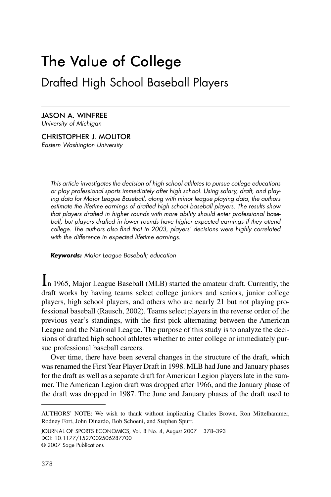# The Value of College Drafted High School Baseball Players

JASON A. WINFREE University of Michigan

CHRISTOPHER J. MOLITOR Eastern Washington University

> This article investigates the decision of high school athletes to pursue college educations or play professional sports immediately after high school. Using salary, draft, and playing data for Major League Baseball, along with minor league playing data, the authors estimate the lifetime earnings of drafted high school baseball players. The results show that players drafted in higher rounds with more ability should enter professional baseball, but players drafted in lower rounds have higher expected earnings if they attend college. The authors also find that in 2003, players' decisions were highly correlated with the difference in expected lifetime earnings.

*Keywords:* Major League Baseball; education

In 1965, Major League Baseball (MLB) started the amateur draft. Currently, the draft works by having teams select college juniors and seniors, junior college players, high school players, and others who are nearly 21 but not playing professional baseball (Rausch, 2002). Teams select players in the reverse order of the previous year's standings, with the first pick alternating between the American League and the National League. The purpose of this study is to analyze the decisions of drafted high school athletes whether to enter college or immediately pursue professional baseball careers.

Over time, there have been several changes in the structure of the draft, which was renamed the First Year Player Draft in 1998. MLB had June and January phases for the draft as well as a separate draft for American Legion players late in the summer. The American Legion draft was dropped after 1966, and the January phase of the draft was dropped in 1987. The June and January phases of the draft used to

JOURNAL OF SPORTS ECONOMICS, Vol. 8 No. 4, August 2007 378–393 DOI: 10.1177/1527002506287700 © 2007 Sage Publications

AUTHORS' NOTE: We wish to thank without implicating Charles Brown, Ron Mittelhammer, Rodney Fort, John Dinardo, Bob Schoeni, and Stephen Spurr.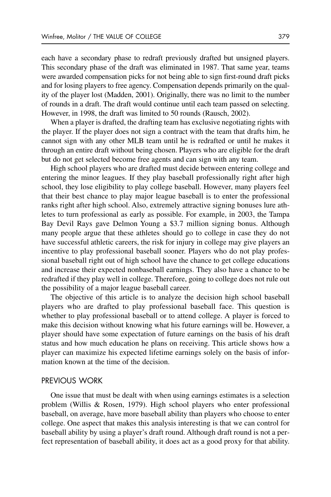each have a secondary phase to redraft previously drafted but unsigned players. This secondary phase of the draft was eliminated in 1987. That same year, teams were awarded compensation picks for not being able to sign first-round draft picks and for losing players to free agency. Compensation depends primarily on the quality of the player lost (Madden, 2001). Originally, there was no limit to the number of rounds in a draft. The draft would continue until each team passed on selecting. However, in 1998, the draft was limited to 50 rounds (Rausch, 2002).

When a player is drafted, the drafting team has exclusive negotiating rights with the player. If the player does not sign a contract with the team that drafts him, he cannot sign with any other MLB team until he is redrafted or until he makes it through an entire draft without being chosen. Players who are eligible for the draft but do not get selected become free agents and can sign with any team.

High school players who are drafted must decide between entering college and entering the minor leagues. If they play baseball professionally right after high school, they lose eligibility to play college baseball. However, many players feel that their best chance to play major league baseball is to enter the professional ranks right after high school. Also, extremely attractive signing bonuses lure athletes to turn professional as early as possible. For example, in 2003, the Tampa Bay Devil Rays gave Delmon Young a \$3.7 million signing bonus. Although many people argue that these athletes should go to college in case they do not have successful athletic careers, the risk for injury in college may give players an incentive to play professional baseball sooner. Players who do not play professional baseball right out of high school have the chance to get college educations and increase their expected nonbaseball earnings. They also have a chance to be redrafted if they play well in college. Therefore, going to college does not rule out the possibility of a major league baseball career.

The objective of this article is to analyze the decision high school baseball players who are drafted to play professional baseball face. This question is whether to play professional baseball or to attend college. A player is forced to make this decision without knowing what his future earnings will be. However, a player should have some expectation of future earnings on the basis of his draft status and how much education he plans on receiving. This article shows how a player can maximize his expected lifetime earnings solely on the basis of information known at the time of the decision.

# PREVIOUS WORK

One issue that must be dealt with when using earnings estimates is a selection problem (Willis & Rosen, 1979). High school players who enter professional baseball, on average, have more baseball ability than players who choose to enter college. One aspect that makes this analysis interesting is that we can control for baseball ability by using a player's draft round. Although draft round is not a perfect representation of baseball ability, it does act as a good proxy for that ability.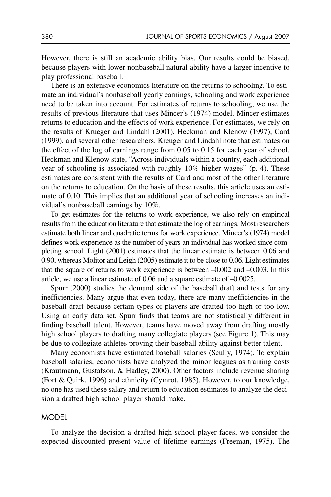However, there is still an academic ability bias. Our results could be biased, because players with lower nonbaseball natural ability have a larger incentive to play professional baseball.

There is an extensive economics literature on the returns to schooling. To estimate an individual's nonbaseball yearly earnings, schooling and work experience need to be taken into account. For estimates of returns to schooling, we use the results of previous literature that uses Mincer's (1974) model. Mincer estimates returns to education and the effects of work experience. For estimates, we rely on the results of Krueger and Lindahl (2001), Heckman and Klenow (1997), Card (1999), and several other researchers. Kreuger and Lindahl note that estimates on the effect of the log of earnings range from 0.05 to 0.15 for each year of school. Heckman and Klenow state, "Across individuals within a country, each additional year of schooling is associated with roughly 10% higher wages" (p. 4). These estimates are consistent with the results of Card and most of the other literature on the returns to education. On the basis of these results, this article uses an estimate of 0.10. This implies that an additional year of schooling increases an individual's nonbaseball earnings by 10%.

To get estimates for the returns to work experience, we also rely on empirical results from the education literature that estimate the log of earnings. Most researchers estimate both linear and quadratic terms for work experience. Mincer's (1974) model defines work experience as the number of years an individual has worked since completing school. Light (2001) estimates that the linear estimate is between 0.06 and 0.90, whereas Molitor and Leigh (2005) estimate it to be close to 0.06. Light estimates that the square of returns to work experience is between –0.002 and –0.003. In this article, we use a linear estimate of 0.06 and a square estimate of –0.0025.

Spurr (2000) studies the demand side of the baseball draft and tests for any inefficiencies. Many argue that even today, there are many inefficiencies in the baseball draft because certain types of players are drafted too high or too low. Using an early data set, Spurr finds that teams are not statistically different in finding baseball talent. However, teams have moved away from drafting mostly high school players to drafting many collegiate players (see Figure 1). This may be due to collegiate athletes proving their baseball ability against better talent.

Many economists have estimated baseball salaries (Scully, 1974). To explain baseball salaries, economists have analyzed the minor leagues as training costs (Krautmann, Gustafson, & Hadley, 2000). Other factors include revenue sharing (Fort & Quirk, 1996) and ethnicity (Cymrot, 1985). However, to our knowledge, no one has used these salary and return to education estimates to analyze the decision a drafted high school player should make.

## **MODEL**

To analyze the decision a drafted high school player faces, we consider the expected discounted present value of lifetime earnings (Freeman, 1975). The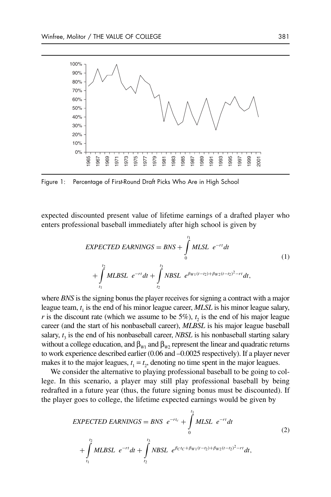

Figure 1: Percentage of First-Round Draft Picks Who Are in High School

expected discounted present value of lifetime earnings of a drafted player who enters professional baseball immediately after high school is given by

$$
EXPECTED EARNINGS = BNS + \int_{0}^{t_1} MLSL e^{-rt} dt
$$
  
+ 
$$
\int_{t_1}^{t_2} MLBSL e^{-rt} dt + \int_{t_2}^{t_3} NBSL e^{\beta_{W1}(t-t_2) + \beta_{W2}(t-t_2)^2 - rt} dt,
$$
 (1)

where *BNS* is the signing bonus the player receives for signing a contract with a major league team, *t* <sup>1</sup> is the end of his minor league career, *MLSL* is his minor league salary, *r* is the discount rate (which we assume to be  $5\%$ ),  $t_2$  is the end of his major league career (and the start of his nonbaseball career), *MLBSL* is his major league baseball salary,  $t_3$  is the end of his nonbaseball career, *NBSL* is his nonbaseball starting salary without a college education, and  $\beta_{W1}$  and  $\beta_{W2}$  represent the linear and quadratic returns to work experience described earlier (0.06 and –0.0025 respectively). If a player never makes it to the major leagues,  $t_1 = t_2$ , denoting no time spent in the major leagues.

We consider the alternative to playing professional baseball to be going to college. In this scenario, a player may still play professional baseball by being redrafted in a future year (thus, the future signing bonus must be discounted). If the player goes to college, the lifetime expected earnings would be given by

$$
EXPECTED EARNINGS = BNS e^{-rt_c} + \int_{0}^{t_1} MLSL e^{-rt} dt
$$
  
+ 
$$
\int_{t_1}^{t_2} MLBSL e^{-rt} dt + \int_{t_2}^{t_3} NBSL e^{\beta ctc + \beta_{W1}(t-t_2) + \beta_{W2}(t-t_2)^2 - rt} dt,
$$
 (2)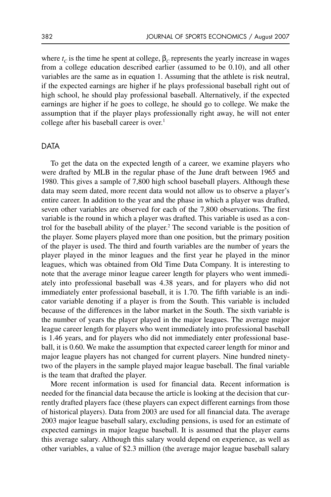where  $t_c$  is the time he spent at college,  $\beta_c$  represents the yearly increase in wages from a college education described earlier (assumed to be 0.10), and all other variables are the same as in equation 1. Assuming that the athlete is risk neutral, if the expected earnings are higher if he plays professional baseball right out of high school, he should play professional baseball. Alternatively, if the expected earnings are higher if he goes to college, he should go to college. We make the assumption that if the player plays professionally right away, he will not enter college after his baseball career is over.<sup>1</sup>

### DATA

To get the data on the expected length of a career, we examine players who were drafted by MLB in the regular phase of the June draft between 1965 and 1980. This gives a sample of 7,800 high school baseball players. Although these data may seem dated, more recent data would not allow us to observe a player's entire career. In addition to the year and the phase in which a player was drafted, seven other variables are observed for each of the 7,800 observations. The first variable is the round in which a player was drafted. This variable is used as a control for the baseball ability of the player.<sup>2</sup> The second variable is the position of the player. Some players played more than one position, but the primary position of the player is used. The third and fourth variables are the number of years the player played in the minor leagues and the first year he played in the minor leagues, which was obtained from Old Time Data Company. It is interesting to note that the average minor league career length for players who went immediately into professional baseball was 4.38 years, and for players who did not immediately enter professional baseball, it is 1.70. The fifth variable is an indicator variable denoting if a player is from the South. This variable is included because of the differences in the labor market in the South. The sixth variable is the number of years the player played in the major leagues. The average major league career length for players who went immediately into professional baseball is 1.46 years, and for players who did not immediately enter professional baseball, it is 0.60. We make the assumption that expected career length for minor and major league players has not changed for current players. Nine hundred ninetytwo of the players in the sample played major league baseball. The final variable is the team that drafted the player.

More recent information is used for financial data. Recent information is needed for the financial data because the article is looking at the decision that currently drafted players face (these players can expect different earnings from those of historical players). Data from 2003 are used for all financial data. The average 2003 major league baseball salary, excluding pensions, is used for an estimate of expected earnings in major league baseball. It is assumed that the player earns this average salary. Although this salary would depend on experience, as well as other variables, a value of \$2.3 million (the average major league baseball salary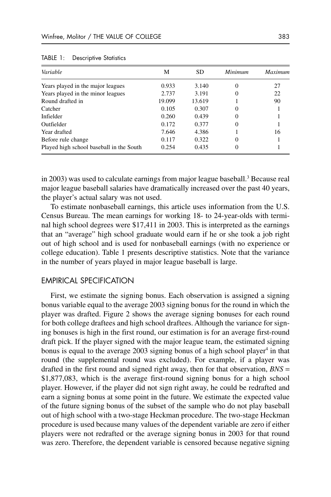| Variable                                 | М      | <b>SD</b> | Minimum | Maximum |
|------------------------------------------|--------|-----------|---------|---------|
| Years played in the major leagues        | 0.933  | 3.140     |         | 27      |
| Years played in the minor leagues        | 2.737  | 3.191     |         | 22      |
| Round drafted in                         | 19.099 | 13.619    |         | 90      |
| Catcher                                  | 0.105  | 0.307     |         |         |
| Infielder                                | 0.260  | 0.439     |         |         |
| Outfielder                               | 0.172  | 0.377     |         |         |
| Year drafted                             | 7.646  | 4.386     |         | 16      |
| Before rule change                       | 0.117  | 0.322     |         |         |
| Played high school baseball in the South | 0.254  | 0.435     |         |         |

TABLE 1: Descriptive Statistics

in 2003) was used to calculate earnings from major league baseball.<sup>3</sup> Because real major league baseball salaries have dramatically increased over the past 40 years, the player's actual salary was not used.

To estimate nonbaseball earnings, this article uses information from the U.S. Census Bureau. The mean earnings for working 18- to 24-year-olds with terminal high school degrees were \$17,411 in 2003. This is interpreted as the earnings that an "average" high school graduate would earn if he or she took a job right out of high school and is used for nonbaseball earnings (with no experience or college education). Table 1 presents descriptive statistics. Note that the variance in the number of years played in major league baseball is large.

# EMPIRICAL SPECIFICATION

First, we estimate the signing bonus. Each observation is assigned a signing bonus variable equal to the average 2003 signing bonus for the round in which the player was drafted. Figure 2 shows the average signing bonuses for each round for both college draftees and high school draftees. Although the variance for signing bonuses is high in the first round, our estimation is for an average first-round draft pick. If the player signed with the major league team, the estimated signing bonus is equal to the average  $2003$  signing bonus of a high school player<sup>4</sup> in that round (the supplemental round was excluded). For example, if a player was drafted in the first round and signed right away, then for that observation, *BNS* = \$1,877,083, which is the average first-round signing bonus for a high school player. However, if the player did not sign right away, he could be redrafted and earn a signing bonus at some point in the future. We estimate the expected value of the future signing bonus of the subset of the sample who do not play baseball out of high school with a two-stage Heckman procedure. The two-stage Heckman procedure is used because many values of the dependent variable are zero if either players were not redrafted or the average signing bonus in 2003 for that round was zero. Therefore, the dependent variable is censored because negative signing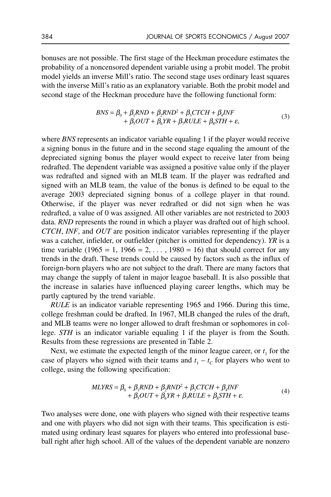bonuses are not possible. The first stage of the Heckman procedure estimates the probability of a noncensored dependent variable using a probit model. The probit model yields an inverse Mill's ratio. The second stage uses ordinary least squares with the inverse Mill's ratio as an explanatory variable. Both the probit model and second stage of the Heckman procedure have the following functional form:

$$
BNS = \beta_0 + \beta_1 RND + \beta_2 RND^2 + \beta_3 CTCH + \beta_4 INF + \beta_5 OUT + \beta_6 NR + \beta_7 RULE + \beta_8 STH + \varepsilon,
$$
(3)

where *BNS* represents an indicator variable equaling 1 if the player would receive a signing bonus in the future and in the second stage equaling the amount of the depreciated signing bonus the player would expect to receive later from being redrafted. The dependent variable was assigned a positive value only if the player was redrafted and signed with an MLB team. If the player was redrafted and signed with an MLB team, the value of the bonus is defined to be equal to the average 2003 depreciated signing bonus of a college player in that round. Otherwise, if the player was never redrafted or did not sign when he was redrafted, a value of 0 was assigned. All other variables are not restricted to 2003 data. *RND* represents the round in which a player was drafted out of high school. *CTCH*, *INF*, and *OUT* are position indicator variables representing if the player was a catcher, infielder, or outfielder (pitcher is omitted for dependency). *YR* is a time variable (1965 = 1, 1966 = 2, ..., 1980 = 16) that should correct for any trends in the draft. These trends could be caused by factors such as the influx of foreign-born players who are not subject to the draft. There are many factors that may change the supply of talent in major league baseball. It is also possible that the increase in salaries have influenced playing career lengths, which may be partly captured by the trend variable.

*RULE* is an indicator variable representing 1965 and 1966. During this time, college freshman could be drafted. In 1967, MLB changed the rules of the draft, and MLB teams were no longer allowed to draft freshman or sophomores in college. *STH* is an indicator variable equaling 1 if the player is from the South. Results from these regressions are presented in Table 2.

Next, we estimate the expected length of the minor league career, or  $t_1$  for the case of players who signed with their teams and  $t_1 - t_C$  for players who went to college, using the following specification:

$$
MLYRS = \beta_0 + \beta_1 RND + \beta_2 RND^2 + \beta_3 CTCH + \beta_4 INF + \beta_5 OUT + \beta_6 YR + \beta_7 RULE + \beta_8 STH + \varepsilon.
$$
 (4)

Two analyses were done, one with players who signed with their respective teams and one with players who did not sign with their teams. This specification is estimated using ordinary least squares for players who entered into professional baseball right after high school. All of the values of the dependent variable are nonzero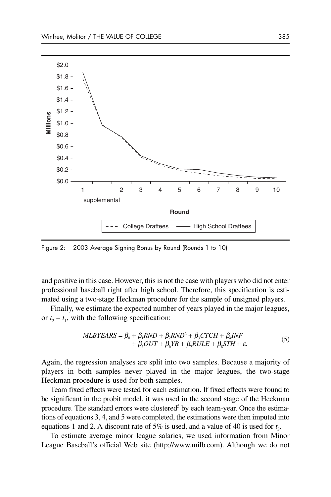

Figure 2: 2003 Average Signing Bonus by Round (Rounds 1 to 10)

and positive in this case. However, this is not the case with players who did not enter professional baseball right after high school. Therefore, this specification is estimated using a two-stage Heckman procedure for the sample of unsigned players.

Finally, we estimate the expected number of years played in the major leagues, or  $t_2 - t_1$ , with the following specification:

$$
MLBYEARS = \beta_0 + \beta_1 RND + \beta_2 RND^2 + \beta_3 CTCH + \beta_4 INF + \beta_5 OUT + \beta_6 YR + \beta_7 RULE + \beta_8 STH + \varepsilon.
$$
 (5)

Again, the regression analyses are split into two samples. Because a majority of players in both samples never played in the major leagues, the two-stage Heckman procedure is used for both samples.

Team fixed effects were tested for each estimation. If fixed effects were found to be significant in the probit model, it was used in the second stage of the Heckman procedure. The standard errors were clustered<sup>5</sup> by each team-year. Once the estimations of equations 3, 4, and 5 were completed, the estimations were then imputed into equations 1 and 2. A discount rate of 5% is used, and a value of 40 is used for *t* 3.

To estimate average minor league salaries, we used information from Minor League Baseball's official Web site (http://www.milb.com). Although we do not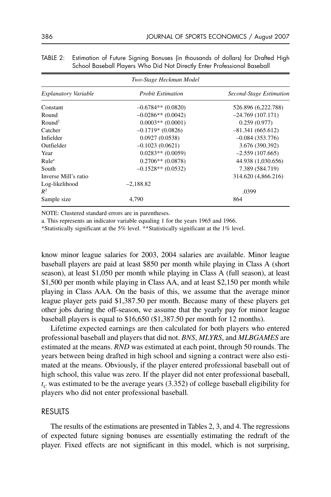| Two-Stage Heckman Model |                          |                         |  |  |  |  |  |
|-------------------------|--------------------------|-------------------------|--|--|--|--|--|
| Explanatory Variable    | <b>Probit Estimation</b> | Second-Stage Estimation |  |  |  |  |  |
| Constant                | $-0.6784**$ (0.0820)     | 526.896 (6,222.788)     |  |  |  |  |  |
| Round                   | $-0.0286**$ (0.0042)     | $-24.769(107.171)$      |  |  |  |  |  |
| Round <sup>2</sup>      | $0.0003**$ (0.0001)      | 0.259(0.977)            |  |  |  |  |  |
| Catcher                 | $-0.1719*(0.0826)$       | $-81.341(665.612)$      |  |  |  |  |  |
| Infielder               | 0.0927(0.0538)           | $-0.084(353.776)$       |  |  |  |  |  |
| Outfielder              | $-0.1023(0.0621)$        | 3.676 (390.392)         |  |  |  |  |  |
| Year                    | $0.0283**$ (0.0059)      | $-2.559(107.665)$       |  |  |  |  |  |
| Rule <sup>a</sup>       | $0.2706**$ (0.0878)      | 44.938 (1,030.656)      |  |  |  |  |  |
| South                   | $-0.1528**$ (0.0532)     | 7.389 (584.719)         |  |  |  |  |  |
| Inverse Mill's ratio    |                          | 314.620 (4,866.216)     |  |  |  |  |  |
| Log-likelihood          | $-2.188.82$              |                         |  |  |  |  |  |
| $R^2$                   |                          | .0399                   |  |  |  |  |  |
| Sample size             | 4,790                    | 864                     |  |  |  |  |  |

TABLE 2: Estimation of Future Signing Bonuses (in thousands of dollars) for Drafted High School Baseball Players Who Did Not Directly Enter Professional Baseball

NOTE: Clustered standard errors are in parentheses.

a. This represents an indicator variable equaling 1 for the years 1965 and 1966.

\*Statistically significant at the 5% level. \*\*Statistically significant at the 1% level.

know minor league salaries for 2003, 2004 salaries are available. Minor league baseball players are paid at least \$850 per month while playing in Class A (short season), at least \$1,050 per month while playing in Class A (full season), at least \$1,500 per month while playing in Class AA, and at least \$2,150 per month while playing in Class AAA. On the basis of this, we assume that the average minor league player gets paid \$1,387.50 per month. Because many of these players get other jobs during the off-season, we assume that the yearly pay for minor league baseball players is equal to \$16,650 (\$1,387.50 per month for 12 months).

Lifetime expected earnings are then calculated for both players who entered professional baseball and players that did not. *BNS*, *MLYRS*, and *MLBGAMES* are estimated at the means. *RND* was estimated at each point, through 50 rounds. The years between being drafted in high school and signing a contract were also estimated at the means. Obviously, if the player entered professional baseball out of high school, this value was zero. If the player did not enter professional baseball,  $t_c$  was estimated to be the average years (3.352) of college baseball eligibility for players who did not enter professional baseball.

#### RESULTS

The results of the estimations are presented in Tables 2, 3, and 4. The regressions of expected future signing bonuses are essentially estimating the redraft of the player. Fixed effects are not significant in this model, which is not surprising,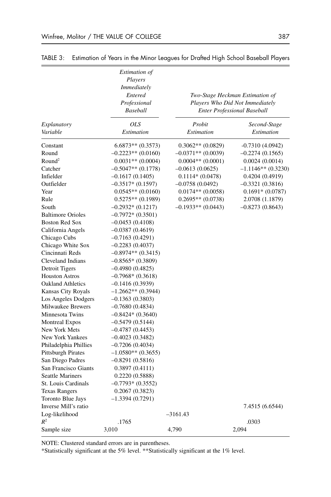|                            | Estimation of<br>Players<br>Immediately<br>Entered<br>Professional<br><b>Baseball</b> |                      | Two-Stage Heckman Estimation of<br>Players Who Did Not Immediately<br><b>Enter Professional Baseball</b> |
|----------------------------|---------------------------------------------------------------------------------------|----------------------|----------------------------------------------------------------------------------------------------------|
| Explanatory                | <b>OLS</b>                                                                            | Probit               | Second-Stage                                                                                             |
| Variable                   | Estimation                                                                            | Estimation           | Estimation                                                                                               |
| Constant                   | $6.6873**$ $(0.3573)$                                                                 | $0.3062**$ (0.0829)  | $-0.7310(4.0942)$                                                                                        |
| Round                      | $-0.2223**$ (0.0160)                                                                  | $-0.0371**$ (0.0039) | $-0.2274(0.1565)$                                                                                        |
| Round <sup>2</sup>         | $0.0031**$ (0.0004)                                                                   | $0.0004**$ (0.0001)  | 0.0024(0.0014)                                                                                           |
| Catcher                    | $-0.5047**$ (0.1778)                                                                  | $-0.0613(0.0625)$    | $-1.1146**$ (0.3230)                                                                                     |
| Infielder                  | $-0.1617(0.1405)$                                                                     | $0.1114*(0.0478)$    | 0.4204 (0.4919)                                                                                          |
| Outfielder                 | $-0.3517*(0.1597)$                                                                    | $-0.0758(0.0492)$    | $-0.3321(0.3816)$                                                                                        |
| Year                       | $0.0545**$ (0.0160)                                                                   | $0.0174**$ (0.0058)  | $0.1691*(0.0787)$                                                                                        |
| Rule                       | $0.5275**$ (0.1989)                                                                   | $0.2695**$ (0.0738)  | 2.0708 (1.1879)                                                                                          |
| South                      | $-0.2932*(0.1217)$                                                                    | $-0.1933**$ (0.0443) | $-0.8273(0.8643)$                                                                                        |
| <b>Baltimore Orioles</b>   | $-0.7972*(0.3501)$                                                                    |                      |                                                                                                          |
| <b>Boston Red Sox</b>      | $-0.0453(0.4108)$                                                                     |                      |                                                                                                          |
| California Angels          | $-0.0387(0.4619)$                                                                     |                      |                                                                                                          |
| Chicago Cubs               | $-0.7163(0.4291)$                                                                     |                      |                                                                                                          |
| Chicago White Sox          | $-0.2283(0.4037)$                                                                     |                      |                                                                                                          |
| Cincinnati Reds            | $-0.8974**$ (0.3415)                                                                  |                      |                                                                                                          |
| Cleveland Indians          | $-0.8565*$ (0.3809)                                                                   |                      |                                                                                                          |
| Detroit Tigers             | $-0.4980(0.4825)$                                                                     |                      |                                                                                                          |
| <b>Houston Astros</b>      | $-0.7968*(0.3618)$                                                                    |                      |                                                                                                          |
| <b>Oakland Athletics</b>   | $-0.1416(0.3939)$                                                                     |                      |                                                                                                          |
| Kansas City Royals         | $-1.2662**$ (0.3944)                                                                  |                      |                                                                                                          |
| Los Angeles Dodgers        | $-0.1363(0.3803)$                                                                     |                      |                                                                                                          |
| Milwaukee Brewers          | $-0.7680(0.4834)$                                                                     |                      |                                                                                                          |
| Minnesota Twins            | $-0.8424*(0.3640)$                                                                    |                      |                                                                                                          |
| <b>Montreal Expos</b>      | $-0.5479(0.5144)$                                                                     |                      |                                                                                                          |
| New York Mets              | $-0.4787(0.4453)$                                                                     |                      |                                                                                                          |
| New York Yankees           | $-0.4023(0.3482)$                                                                     |                      |                                                                                                          |
| Philadelphia Phillies      | $-0.7206(0.4034)$                                                                     |                      |                                                                                                          |
| <b>Pittsburgh Pirates</b>  | $-1.0580**$ (0.3655)                                                                  |                      |                                                                                                          |
| San Diego Padres           | $-0.8291(0.5816)$                                                                     |                      |                                                                                                          |
| San Francisco Giants       | 0.3897(0.4111)                                                                        |                      |                                                                                                          |
| <b>Seattle Mariners</b>    | 0.2220(0.5888)                                                                        |                      |                                                                                                          |
| <b>St. Louis Cardinals</b> | $-0.7793*(0.3552)$                                                                    |                      |                                                                                                          |
| <b>Texas Rangers</b>       | 0.2067(0.3823)                                                                        |                      |                                                                                                          |
| Toronto Blue Jays          | $-1.3394(0.7291)$                                                                     |                      |                                                                                                          |
| Inverse Mill's ratio       |                                                                                       |                      | 7.4515 (6.6544)                                                                                          |
| Log-likelihood             |                                                                                       | -3161.43             |                                                                                                          |
| $\,R^2$                    | .1765                                                                                 |                      | .0303                                                                                                    |
| Sample size                | 3,010                                                                                 | 4,790                | 2,094                                                                                                    |
|                            |                                                                                       |                      |                                                                                                          |

TABLE 3: Estimation of Years in the Minor Leagues for Drafted High School Baseball Players

NOTE: Clustered standard errors are in parentheses.

\*Statistically significant at the 5% level. \*\*Statistically significant at the 1% level.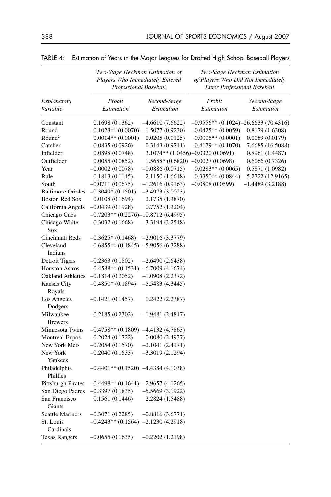|                             | Two-Stage Heckman Estimation of<br>Players Who Immediately Entered<br>Professional Baseball |                   | Two-Stage Heckman Estimation<br>of Players Who Did Not Immediately<br><b>Enter Professional Baseball</b> |                   |  |  |
|-----------------------------|---------------------------------------------------------------------------------------------|-------------------|----------------------------------------------------------------------------------------------------------|-------------------|--|--|
| Explanatory                 | Probit                                                                                      | Second-Stage      | Probit                                                                                                   | Second-Stage      |  |  |
| Variable                    | Estimation                                                                                  | Estimation        | Estimation                                                                                               | Estimation        |  |  |
| Constant                    | 0.1698(0.1362)                                                                              | $-4.6610(7.6622)$ | $-0.9556**$ (0.1024) $-26.6633$ (70.4316)                                                                |                   |  |  |
| Round                       | $-0.1023**$ (0.0070) $-1.5077$ (0.9230)                                                     |                   | $-0.0425**$ (0.0059) $-0.8179$ (1.6308)                                                                  |                   |  |  |
| Round <sup>2</sup>          | $0.0014**$ (0.0001)                                                                         | 0.0205(0.0125)    | $0.0005**$ (0.0001)                                                                                      | 0.0089(0.0179)    |  |  |
| Catcher                     | $-0.0835(0.0926)$                                                                           | 0.3143(0.9711)    | $-0.4179**$ (0.1070) $-7.6685$ (16.5088)                                                                 |                   |  |  |
| Infielder                   | 0.0898(0.0748)                                                                              |                   | 3.1074** (1.0456)-0.0320 (0.0691)                                                                        | 0.8961 (1.4487)   |  |  |
| Outfielder                  | 0.0055(0.0852)                                                                              |                   | $1.5658*(0.6820)$ -0.0027 (0.0698)                                                                       | 0.6066(0.7326)    |  |  |
| Year                        | $-0.0002(0.0078)$                                                                           | $-0.0886(0.0715)$ | $0.0283**$ (0.0065)                                                                                      | 0.5871 (1.0982)   |  |  |
| Rule                        | 0.1813(0.1145)                                                                              | 2.1150 (1.6648)   | $0.3350**$ (0.0844)                                                                                      | 5.2722 (12.9165)  |  |  |
| South                       | $-0.0711(0.0675)$                                                                           | $-1.2616(0.9163)$ | $-0.0808(0.0599)$                                                                                        | $-1.4489(3.2188)$ |  |  |
| <b>Baltimore Orioles</b>    | $-0.3049*(0.1501)$                                                                          | $-3.4973(3.0023)$ |                                                                                                          |                   |  |  |
| <b>Boston Red Sox</b>       | 0.0108(0.1694)                                                                              | 2.1735 (1.3870)   |                                                                                                          |                   |  |  |
| California Angels           | $-0.0439(0.1928)$                                                                           | 0.7752(1.3204)    |                                                                                                          |                   |  |  |
| Chicago Cubs                | $-0.7203**$ (0.2276) $-10.8712$ (6.4995)                                                    |                   |                                                                                                          |                   |  |  |
| Chicago White<br>Sox        | $-0.3032(0.1668)$                                                                           | $-3.3194(3.2548)$ |                                                                                                          |                   |  |  |
| Cincinnati Reds             | $-0.3625*(0.1468)$                                                                          | $-2.9016(3.3779)$ |                                                                                                          |                   |  |  |
| Cleveland<br>Indians        | $-0.6855**$ (0.1845) $-5.9056$ (6.3288)                                                     |                   |                                                                                                          |                   |  |  |
| Detroit Tigers              | $-0.2363(0.1802)$                                                                           | $-2.6490(2.6438)$ |                                                                                                          |                   |  |  |
| <b>Houston Astros</b>       | $-0.4588**$ (0.1531) $-6.7009$ (4.1674)                                                     |                   |                                                                                                          |                   |  |  |
| <b>Oakland Athletics</b>    | $-0.1814(0.2052)$                                                                           | $-1.0908(2.2372)$ |                                                                                                          |                   |  |  |
| Kansas City<br>Royals       | $-0.4850*(0.1894)$                                                                          | $-5.5483(4.3445)$ |                                                                                                          |                   |  |  |
| Los Angeles<br>Dodgers      | $-0.1421(0.1457)$                                                                           | 0.2422(2.2387)    |                                                                                                          |                   |  |  |
| Milwaukee<br><b>Brewers</b> | $-0.2185(0.2302)$                                                                           | $-1.9481(2.4817)$ |                                                                                                          |                   |  |  |
| Minnesota Twins             | $-0.4758**$ (0.1809) $-4.4132$ (4.7863)                                                     |                   |                                                                                                          |                   |  |  |
| <b>Montreal Expos</b>       | $-0.2024(0.1722)$                                                                           | 0.0080(2.4937)    |                                                                                                          |                   |  |  |
| New York Mets               | $-0.2054(0.1570)$                                                                           | $-2.1041(2.4171)$ |                                                                                                          |                   |  |  |
| New York<br>Yankees         | $-0.2040(0.1633)$                                                                           | $-3.3019(2.1294)$ |                                                                                                          |                   |  |  |
| Philadelphia<br>Phillies    | $-0.4401**$ (0.1520) $-4.4384$ (4.1038)                                                     |                   |                                                                                                          |                   |  |  |
| <b>Pittsburgh Pirates</b>   | $-0.4498**$ (0.1641) $-2.9657$ (4.1265)                                                     |                   |                                                                                                          |                   |  |  |
| San Diego Padres            | $-0.3397(0.1835)$                                                                           | $-5.5669(3.1922)$ |                                                                                                          |                   |  |  |
| San Francisco<br>Giants     | 0.1561(0.1446)                                                                              | 2.2824 (1.5488)   |                                                                                                          |                   |  |  |
| <b>Seattle Mariners</b>     | $-0.3071(0.2285)$                                                                           | $-0.8816(3.6771)$ |                                                                                                          |                   |  |  |
| St. Louis<br>Cardinals      | $-0.4243**$ (0.1564) $-2.1230$ (4.2918)                                                     |                   |                                                                                                          |                   |  |  |
| <b>Texas Rangers</b>        | $-0.0655(0.1635)$                                                                           | $-0.2202(1.2198)$ |                                                                                                          |                   |  |  |

|  | TABLE 4: Estimation of Years in the Major Leagues for Drafted High School Baseball Players |  |  |  |  |  |  |  |  |
|--|--------------------------------------------------------------------------------------------|--|--|--|--|--|--|--|--|
|--|--------------------------------------------------------------------------------------------|--|--|--|--|--|--|--|--|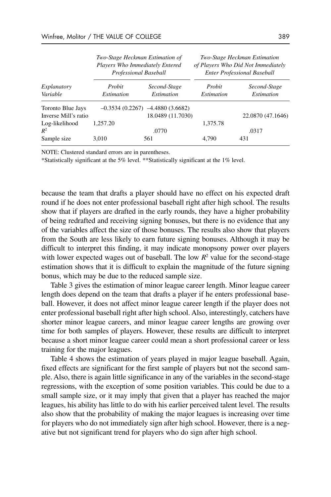| Explanatory<br>Variable                   |                             | Two-Stage Heckman Estimation of<br>Players Who Immediately Entered<br>Professional Baseball | Two-Stage Heckman Estimation<br>of Players Who Did Not Immediately<br><b>Enter Professional Baseball</b> |                                   |  |
|-------------------------------------------|-----------------------------|---------------------------------------------------------------------------------------------|----------------------------------------------------------------------------------------------------------|-----------------------------------|--|
|                                           | Probit<br><i>Estimation</i> | Second-Stage<br><b>Estimation</b>                                                           | Probit<br><i>Estimation</i>                                                                              | Second-Stage<br><i>Estimation</i> |  |
| Toronto Blue Jays<br>Inverse Mill's ratio |                             | $-0.3534(0.2267)$ $-4.4880(3.6682)$<br>18.0489 (11.7030)                                    |                                                                                                          | 22.0870 (47.1646)                 |  |
| Log-likelihood<br>$R^2$<br>Sample size    | 1.257.20<br>3,010           | .0770<br>561                                                                                | 1,375.78<br>4,790                                                                                        | .0317<br>431                      |  |

NOTE: Clustered standard errors are in parentheses.

\*Statistically significant at the 5% level. \*\*Statistically significant at the 1% level.

because the team that drafts a player should have no effect on his expected draft round if he does not enter professional baseball right after high school. The results show that if players are drafted in the early rounds, they have a higher probability of being redrafted and receiving signing bonuses, but there is no evidence that any of the variables affect the size of those bonuses. The results also show that players from the South are less likely to earn future signing bonuses. Although it may be difficult to interpret this finding, it may indicate monopsony power over players with lower expected wages out of baseball. The low  $R^2$  value for the second-stage estimation shows that it is difficult to explain the magnitude of the future signing bonus, which may be due to the reduced sample size.

Table 3 gives the estimation of minor league career length. Minor league career length does depend on the team that drafts a player if he enters professional baseball. However, it does not affect minor league career length if the player does not enter professional baseball right after high school. Also, interestingly, catchers have shorter minor league careers, and minor league career lengths are growing over time for both samples of players. However, these results are difficult to interpret because a short minor league career could mean a short professional career or less training for the major leagues.

Table 4 shows the estimation of years played in major league baseball. Again, fixed effects are significant for the first sample of players but not the second sample. Also, there is again little significance in any of the variables in the second-stage regressions, with the exception of some position variables. This could be due to a small sample size, or it may imply that given that a player has reached the major leagues, his ability has little to do with his earlier perceived talent level. The results also show that the probability of making the major leagues is increasing over time for players who do not immediately sign after high school. However, there is a negative but not significant trend for players who do sign after high school.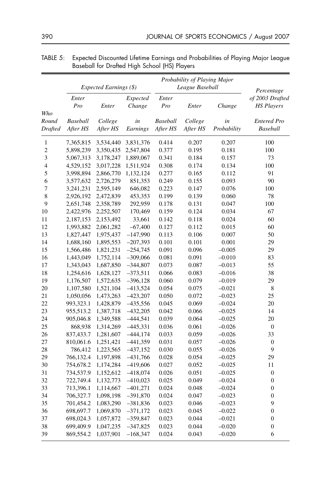|                          |                        | Probability of Playing Major |                |                             |                     |                   |                                       |
|--------------------------|------------------------|------------------------------|----------------|-----------------------------|---------------------|-------------------|---------------------------------------|
|                          | Expected Earnings (\$) |                              |                |                             | League Baseball     | Percentage        |                                       |
|                          | Enter                  |                              | Expected       | Enter                       |                     |                   | of 2003 Drafted                       |
|                          | Pro                    | Enter                        | Change         | Pro                         | Enter               | Change            | <b>HS Players</b>                     |
| Who                      |                        |                              |                |                             |                     |                   |                                       |
| Round<br><b>Drafted</b>  | Baseball<br>After HS   | College<br>After HS          | in<br>Earnings | <b>Baseball</b><br>After HS | College<br>After HS | in<br>Probability | <b>Entered Pro</b><br><b>Baseball</b> |
|                          |                        |                              |                |                             |                     |                   |                                       |
| $\mathbf{1}$             | 7,365,815              | 3,534,440                    | 3,831,376      | 0.414                       | 0.207               | 0.207             | 100                                   |
| $\overline{c}$           | 5,898,239              | 3,350,435                    | 2,547,804      | 0.377                       | 0.195               | 0.181             | 100                                   |
| 3                        | 5,067,313              | 3,178,247                    | 1,889,067      | 0.341                       | 0.184               | 0.157             | 73                                    |
| $\overline{\mathcal{L}}$ | 4,529,152              | 3,017,228                    | 1,511,924      | 0.308                       | 0.174               | 0.134             | 100                                   |
| 5                        | 3,998,894              | 2,866,770                    | 1,132,124      | 0.277                       | 0.165               | 0.112             | 91                                    |
| 6                        | 3,577,632              | 2,726,279                    | 851,353        | 0.249                       | 0.155               | 0.093             | 90                                    |
| 7                        | 3,241,231              | 2,595,149                    | 646,082        | 0.223                       | 0.147               | 0.076             | 100                                   |
| 8                        | 2,926,192              | 2,472,839                    | 453,353        | 0.199                       | 0.139               | 0.060             | 78                                    |
| 9                        | 2,651,748              | 2,358,789                    | 292,959        | 0.178                       | 0.131               | 0.047             | 100                                   |
| 10                       | 2,422,976              | 2,252,507                    | 170,469        | 0.159                       | 0.124               | 0.034             | 67                                    |
| 11                       | 2,187,153              | 2,153,492                    | 33,661         | 0.142                       | 0.118               | 0.024             | 60                                    |
| 12                       | 1,993,882              | 2,061,282                    | $-67,400$      | 0.127                       | 0.112               | 0.015             | 60                                    |
| 13                       | 1,827,447              | 1,975,437                    | $-147,990$     | 0.113                       | 0.106               | 0.007             | 50                                    |
| 14                       | 1,688,160              | 1,895,553                    | $-207,393$     | 0.101                       | 0.101               | 0.001             | 29                                    |
| 15                       | 1,566,486              | 1,821,231                    | $-254,745$     | 0.091                       | 0.096               | $-0.005$          | 29                                    |
| 16                       | 1,443,049              | 1,752,114                    | $-309,066$     | 0.081                       | 0.091               | $-0.010$          | 83                                    |
| 17                       | 1,343,043              | 1,687,850                    | $-344,807$     | 0.073                       | 0.087               | $-0.013$          | 55                                    |
| 18                       | 1,254,616              | 1,628,127                    | $-373,511$     | 0.066                       | 0.083               | $-0.016$          | 38                                    |
| 19                       | 1,176,507              | 1,572,635                    | $-396,128$     | 0.060                       | 0.079               | $-0.019$          | 29                                    |
| 20                       | 1,107,580              | 1,521,104                    | $-413,524$     | 0.054                       | 0.075               | $-0.021$          | $\,$ 8 $\,$                           |
| 21                       | 1,050,056              | 1,473,263                    | $-423,207$     | 0.050                       | 0.072               | $-0.023$          | 25                                    |
| 22                       | 993,323.1              | 1,428,879                    | $-435,556$     | 0.045                       | 0.069               | $-0.024$          | 20                                    |
| 23                       | 955,513.2              | 1,387,718                    | $-432,205$     | 0.042                       | 0.066               | $-0.025$          | 14                                    |
| 24                       | 905,046.8              | 1,349,588                    | $-444,541$     | 0.039                       | 0.064               | $-0.025$          | 20                                    |
| 25                       | 868,938                | 1,314,269                    | $-445,331$     | 0.036                       | 0.061               | $-0.026$          | $\boldsymbol{0}$                      |
| 26                       | 837,433.7              | 1,281,607                    | $-444,174$     | 0.033                       | 0.059               | $-0.026$          | 33                                    |
| 27                       | 810,061.6              | 1,251,421                    | $-441,359$     | 0.031                       | 0.057               | $-0.026$          | $\boldsymbol{0}$                      |
| 28                       | 786,412                | 1,223,565                    | $-437,152$     | 0.030                       | 0.055               | $-0.026$          | 9                                     |
| 29                       | 766,132.4              | 1,197,898                    | $-431,766$     | 0.028                       | 0.054               | $-0.025$          | 29                                    |
| 30                       | 754,678.2              | 1,174,284                    | $-419,606$     | 0.027                       | 0.052               | $-0.025$          | 11                                    |
| 31                       | 734,537.9              | 1,152,612                    | $-418,074$     | 0.026                       | 0.051               | $-0.025$          | $\boldsymbol{0}$                      |
| 32                       | 722,749.4              | 1,132,773                    | $-410,023$     | 0.025                       | 0.049               | $-0.024$          | $\boldsymbol{0}$                      |
| 33                       | 713,396.1              | 1,114,667                    | $-401,271$     | 0.024                       | 0.048               | $-0.024$          | $\boldsymbol{0}$                      |
| 34                       | 706,327.7              | 1,098,198                    | $-391,870$     | 0.024                       | 0.047               | $-0.023$          | $\boldsymbol{0}$                      |
| 35                       | 701,454.2              | 1,083,290                    | $-381,836$     | 0.023                       | 0.046               | $-0.023$          | 9                                     |
| 36                       | 698,697.7              | 1,069,870                    | $-371,172$     | 0.023                       | 0.045               | $-0.022$          | $\boldsymbol{0}$                      |
| 37                       | 698,024.3              | 1,057,872                    | $-359,847$     | 0.023                       | 0.044               | $-0.021$          | $\boldsymbol{0}$                      |
| 38                       | 699,409.9              | 1,047,235                    | $-347,825$     | 0.023                       | 0.044               | $-0.020$          | $\boldsymbol{0}$                      |
| 39                       | 869,554.2              | 1,037,901                    | $-168,347$     | 0.024                       | 0.043               | $-0.020$          | 6                                     |

TABLE 5: Expected Discounted Lifetime Earnings and Probabilities of Playing Major League Baseball for Drafted High School (HS) Players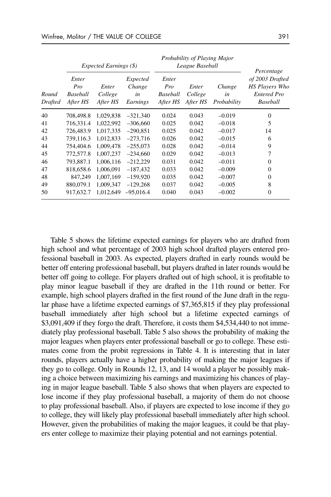|                         | Expected Earnings (\$)               |                              |                                      | Probability of Playing Major<br>League Baseball |                              |                             | Percentage                                                                 |
|-------------------------|--------------------------------------|------------------------------|--------------------------------------|-------------------------------------------------|------------------------------|-----------------------------|----------------------------------------------------------------------------|
| Round<br><b>Drafted</b> | Enter<br>Pro<br>Baseball<br>After HS | Enter<br>College<br>After HS | Expected<br>Change<br>in<br>Earnings | Enter<br>Pro<br>Baseball<br>After HS            | Enter<br>College<br>After HS | Change<br>in<br>Probability | of 2003 Drafted<br><b>HS Players Who</b><br><b>Entered Pro</b><br>Baseball |
| 40                      | 708,498.8                            | 1,029,838                    | $-321,340$                           | 0.024                                           | 0.043                        | $-0.019$                    | $\theta$                                                                   |
| 41                      | 716,331.4                            | 1,022,992                    | $-306,660$                           | 0.025                                           | 0.042                        | $-0.018$                    | 5                                                                          |
| 42                      | 726,483.9                            | 1.017.335                    | $-290.851$                           | 0.025                                           | 0.042                        | $-0.017$                    | 14                                                                         |
| 43                      | 739,116.3                            | 1,012,833                    | $-273,716$                           | 0.026                                           | 0.042                        | $-0.015$                    | 6                                                                          |
| 44                      | 754,404.6                            | 1,009,478                    | $-255,073$                           | 0.028                                           | 0.042                        | $-0.014$                    | 9                                                                          |
| 45                      | 772,577.8                            | 1,007,237                    | $-234,660$                           | 0.029                                           | 0.042                        | $-0.013$                    | 7                                                                          |
| 46                      | 793,887.1                            | 1,006,116                    | $-212,229$                           | 0.031                                           | 0.042                        | $-0.011$                    | $\Omega$                                                                   |
| 47                      | 818,658.6                            | 1,006,091                    | -187.432                             | 0.033                                           | 0.042                        | $-0.009$                    | $\Omega$                                                                   |
| 48                      | 847.249                              | 1,007,169                    | $-159.920$                           | 0.035                                           | 0.042                        | $-0.007$                    | $\Omega$                                                                   |
| 49                      | 880,079.1                            | 1.009.347                    | $-129,268$                           | 0.037                                           | 0.042                        | $-0.005$                    | 8                                                                          |
| 50                      | 917,632.7                            | 1,012,649                    | $-95,016.4$                          | 0.040                                           | 0.043                        | $-0.002$                    | $\Omega$                                                                   |

Table 5 shows the lifetime expected earnings for players who are drafted from high school and what percentage of 2003 high school drafted players entered professional baseball in 2003. As expected, players drafted in early rounds would be better off entering professional baseball, but players drafted in later rounds would be better off going to college. For players drafted out of high school, it is profitable to play minor league baseball if they are drafted in the 11th round or better. For example, high school players drafted in the first round of the June draft in the regular phase have a lifetime expected earnings of \$7,365,815 if they play professional baseball immediately after high school but a lifetime expected earnings of \$3,091,409 if they forgo the draft. Therefore, it costs them \$4,534,440 to not immediately play professional baseball. Table 5 also shows the probability of making the major leagues when players enter professional baseball or go to college. These estimates come from the probit regressions in Table 4. It is interesting that in later rounds, players actually have a higher probability of making the major leagues if they go to college. Only in Rounds 12, 13, and 14 would a player be possibly making a choice between maximizing his earnings and maximizing his chances of playing in major league baseball. Table 5 also shows that when players are expected to lose income if they play professional baseball, a majority of them do not choose to play professional baseball. Also, if players are expected to lose income if they go to college, they will likely play professional baseball immediately after high school. However, given the probabilities of making the major leagues, it could be that players enter college to maximize their playing potential and not earnings potential.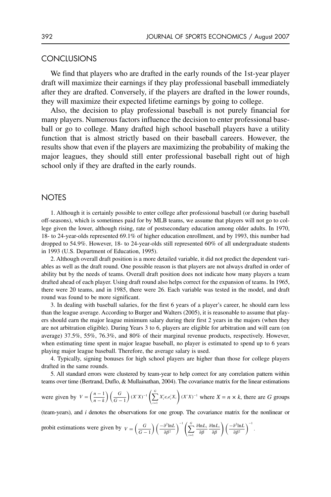## **CONCLUSIONS**

We find that players who are drafted in the early rounds of the 1st-year player draft will maximize their earnings if they play professional baseball immediately after they are drafted. Conversely, if the players are drafted in the lower rounds, they will maximize their expected lifetime earnings by going to college.

Also, the decision to play professional baseball is not purely financial for many players. Numerous factors influence the decision to enter professional baseball or go to college. Many drafted high school baseball players have a utility function that is almost strictly based on their baseball careers. However, the results show that even if the players are maximizing the probability of making the major leagues, they should still enter professional baseball right out of high school only if they are drafted in the early rounds.

## **NOTES**

1. Although it is certainly possible to enter college after professional baseball (or during baseball off-seasons), which is sometimes paid for by MLB teams, we assume that players will not go to college given the lower, although rising, rate of postsecondary education among older adults. In 1970, 18- to 24-year-olds represented 69.1% of higher education enrollment, and by 1993, this number had dropped to 54.9%. However, 18- to 24-year-olds still represented 60% of all undergraduate students in 1993 (U.S. Department of Education, 1995).

2. Although overall draft position is a more detailed variable, it did not predict the dependent variables as well as the draft round. One possible reason is that players are not always drafted in order of ability but by the needs of teams. Overall draft position does not indicate how many players a team drafted ahead of each player. Using draft round also helps correct for the expansion of teams. In 1965, there were 20 teams, and in 1985, there were 26. Each variable was tested in the model, and draft round was found to be more significant.

3. In dealing with baseball salaries, for the first 6 years of a player's career, he should earn less than the league average. According to Burger and Walters (2005), it is reasonable to assume that players should earn the major league minimum salary during their first 2 years in the majors (when they are not arbitration eligible). During Years 3 to 6, players are eligible for arbitration and will earn (on average) 37.5%, 55%, 76.3%, and 80% of their marginal revenue products, respectively. However, when estimating time spent in major league baseball, no player is estimated to spend up to 6 years playing major league baseball. Therefore, the average salary is used.

4. Typically, signing bonuses for high school players are higher than those for college players drafted in the same rounds.

5. All standard errors were clustered by team-year to help correct for any correlation pattern within teams over time (Bertrand, Duflo, & Mullainathan, 2004). The covariance matrix for the linear estimations

were given by 
$$
V = \left(\frac{n-1}{n-k}\right) \left(\frac{G}{G-1}\right) (X'X)^{-1} \left(\sum_{i=1}^{G} X'_i e_i e'_i X_i\right) (X'X)^{-1}
$$
 where  $X = n \times k$ , there are G groups

(team-years), and *i* denotes the observations for one group. The covariance matrix for the nonlinear or

.

$$
\text{probit estimations were given by } V = \left(\frac{G}{G-1}\right) \left(\frac{-\partial^2 \ln L}{\partial \beta^2}\right)^{-1} \left(\sum_{i=1}^G \frac{\partial \ln L_i}{\partial \beta} \frac{\partial \ln L_i}{\partial \beta}\right) \left(\frac{-\partial^2 \ln L}{\partial \beta^2}\right)^{-1}
$$